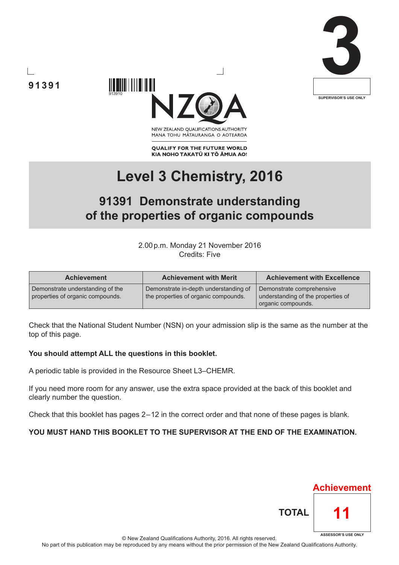





NEW ZEALAND OUALIFICATIONS AUTHORITY MANA TOHU MĀTAURANGA O AOTEAROA

**QUALIFY FOR THE FUTURE WORLD** KIA NOHO TAKATŪ KI TŌ ĀMUA AO!

# **Level 3 Chemistry, 2016**

# **91391 Demonstrate understanding of the properties of organic compounds**

2.00p.m. Monday 21 November 2016 Credits: Five

| <b>Achievement</b>                                                   | <b>Achievement with Merit</b>                                                 | <b>Achievement with Excellence</b>                                                    |  |  |
|----------------------------------------------------------------------|-------------------------------------------------------------------------------|---------------------------------------------------------------------------------------|--|--|
| Demonstrate understanding of the<br>properties of organic compounds. | Demonstrate in-depth understanding of<br>the properties of organic compounds. | Demonstrate comprehensive<br>understanding of the properties of<br>organic compounds. |  |  |

Check that the National Student Number (NSN) on your admission slip is the same as the number at the top of this page.

### **You should attempt ALL the questions in this booklet.**

A periodic table is provided in the Resource Sheet L3–CHEMR.

If you need more room for any answer, use the extra space provided at the back of this booklet and clearly number the question.

Check that this booklet has pages 2 – 12 in the correct order and that none of these pages is blank.

### **YOU MUST HAND THIS BOOKLET TO THE SUPERVISOR AT THE END OF THE EXAMINATION.**



© New Zealand Qualifications Authority, 2016. All rights reserved. No part of this publication may be reproduced by any means without the prior permission of the New Zealand Qualifications Authority.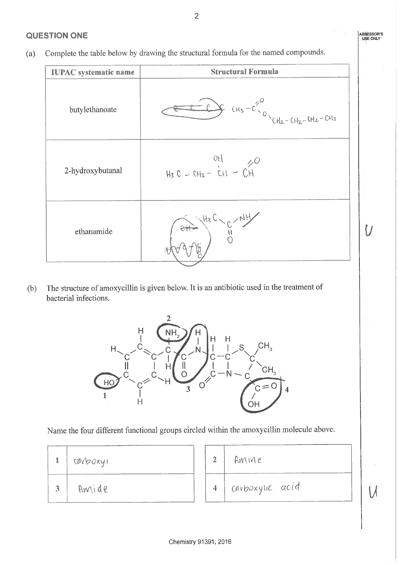# **QUESTION ONE**

Complete the table below by drawing the structural formula for the named compounds.  $(a)$ 

| <b>IUPAC</b> systematic name | <b>Structural Formula</b>                    |  |  |
|------------------------------|----------------------------------------------|--|--|
| butylethanoate               | $45 - C2 / C$<br>CHz - CHz - CHz - CHz - CHz |  |  |
| 2-hydroxybutanal             | $H_3 C = CH_2 - CH - CH$                     |  |  |
| ethanamide                   |                                              |  |  |

The structure of amoxycillin is given below. It is an antibiotic used in the treatment of  $(b)$ bacterial infections.



Name the four different functional groups circled within the amoxycillin molecule above.

|   | cavboxyi |                         | AMINE             |
|---|----------|-------------------------|-------------------|
| 3 | Amide    | $\overline{\mathbf{4}}$ | I cavboxylic acid |

ASSESSOR'S<br>USE ONLY

U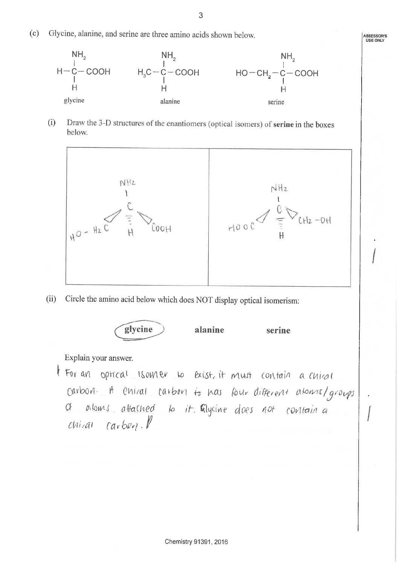Glycine, alanine, and serine are three amino acids shown below.  $(c)$ 



Draw the 3-D structures of the enantiomers (optical isomers) of serine in the boxes  $(i)$ below.



Circle the amino acid below which does NOT display optical isomerism:  $(ii)$ 



Explain your answer.

I For an optical isomer to exist it must contain a chiral carbon. A entral carbon is has four different aloms/groups of aloms attached to it. Glycine does not contain a  $chiai$   $carber.$ 

**ASSESSOR'S**<br>USE ONLY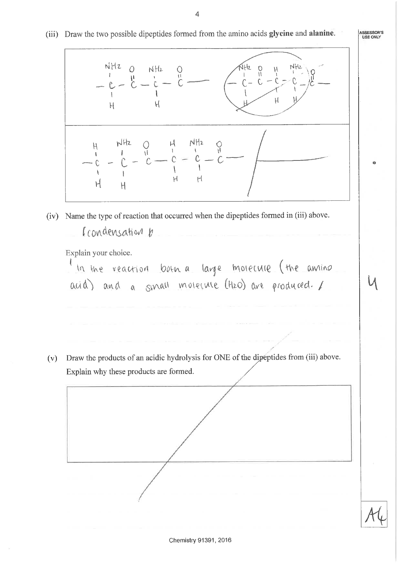ASSESSOR'S (iii) Draw the two possible dipeptides formed from the amino acids glycine and alanine.  $NHZ$  $-2$   $-14h$ <br> $-6$   $-6$   $-16$ <br> $-6$   $-6$   $-6$  $\Omega$  $NH_2$  $\frac{0}{11}$  $C - C$  - $\mathcal{H}$  $\mathcal H$  $H$ ö  $H$  $H$  $H$ (iv) Name the type of reaction that occurred when the dipeptides formed in (iii) above. Condensation b Explain your choice. In the reaction looth a large morecure (the amino acid) and a small molecule (H2O) are produced. / Draw the products of an acidic hydrolysis for ONE of the dipeptides from (iii) above.  $(v)$ Explain why these products are formed.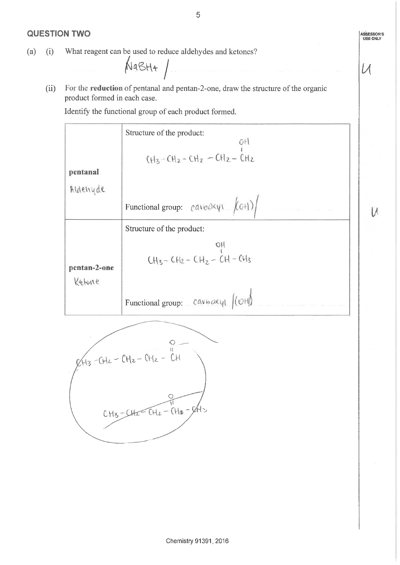## **QUESTION TWO**

What reagent can be used to reduce aldehydes and ketones?  $(a)$  $(i)$ 

 $N$ a $B$ H+ /

For the reduction of pentanal and pentan-2-one, draw the structure of the organic  $(ii)$ product formed in each case.

Identify the functional group of each product formed.

5

ASSESSOR'S<br>USE ONLY

 $U$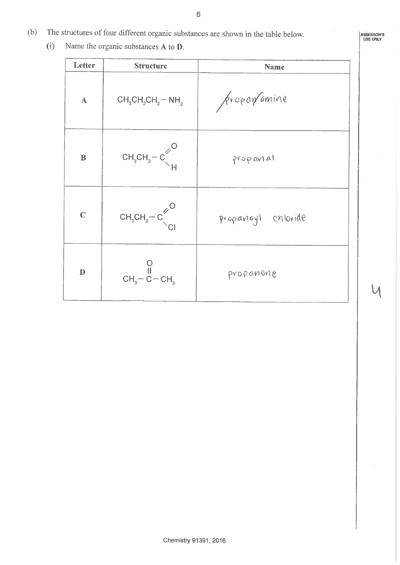- The structures of four different organic substances are shown in the table below.  $(b)$ 
	- $(i)$ Name the organic substances A to D.

| Letter                                                                                                                                                                                                                                                                                                                                                                                     | <b>Structure</b>                                                               | Name               |  |  |
|--------------------------------------------------------------------------------------------------------------------------------------------------------------------------------------------------------------------------------------------------------------------------------------------------------------------------------------------------------------------------------------------|--------------------------------------------------------------------------------|--------------------|--|--|
| $\mathbf{A}$                                                                                                                                                                                                                                                                                                                                                                               | $CH_3CH_2CH_2-NH_2$                                                            | proponamine        |  |  |
| $\, {\bf B}$                                                                                                                                                                                                                                                                                                                                                                               | $CH3CH2-C\left\{\begin{matrix} 1\\  1 \end{matrix}\right\}$                    | propanal           |  |  |
| $\mathbf C$                                                                                                                                                                                                                                                                                                                                                                                | $CH_3CH_2-C\begin{matrix}^{\prime\prime}\\ \cdot\\ \cdot\\ \cdot \end{matrix}$ | propanoyl chloride |  |  |
| $\mathbf{D}% =\mathbf{D}^{T}\mathbf{D}^{T}\mathbf{D}^{T}+\mathbf{D}^{T}\mathbf{D}^{T}+\mathbf{D}^{T}\mathbf{D}^{T}+\mathbf{D}^{T}\mathbf{D}^{T}+\mathbf{D}^{T}\mathbf{D}^{T}+\mathbf{D}^{T}\mathbf{D}^{T}+\mathbf{D}^{T}\mathbf{D}^{T}+\mathbf{D}^{T}\mathbf{D}^{T}+\mathbf{D}^{T}\mathbf{D}^{T}+\mathbf{D}^{T}\mathbf{D}^{T}+\mathbf{D}^{T}\mathbf{D}^{T}+\mathbf{D}^{T}\mathbf{D}^{T}+\$ | $CH3 - \overset{\text{II}}{C} - CH3$                                           | propanone          |  |  |

Chemistry 91391, 2016

6

ASSESSOR'S<br>USE ONLY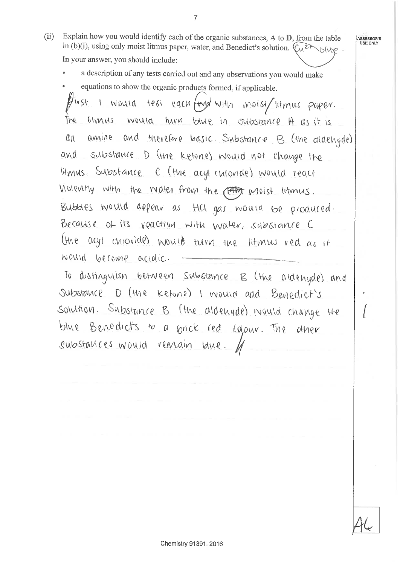Explain how you would identify each of the organic substances, A to D, from the table  $(ii)$ in (b)(i), using only moist litmus paper, water, and Benedict's solution.  $(\widehat{\mu^2} \wedge \widehat{\mu^2})$ In your answer, you should include:

 $\overline{7}$ 

- a description of any tests carried out and any observations you would make
- equations to show the organic products formed, if applicable.

first I would test each (my with moist/litmus paper. liturus would turn blue in substance A as it is The amine and therefore basic. Substance B (the aldehyde)  $\alpha$ n and substance D (the ketone) would not change the litmus. Substance C (the acyl chloride) would react Violently with the water from the (FAD) moist litmus. Bubbles would appear as HCl gas would be produced. Because of its reaction with water, substance C the age chiovides would turn the literary red as it would become acidic.

To distinguish between substance B (the aldenyde) and Substance D (the ketone) I would add Benedict's Solution. Substance B (the aldenyde) would change the blue Benedicts to a brick red colour. The  $0$ ther substances would remain lane.

ASSESSOR'S USE ONLY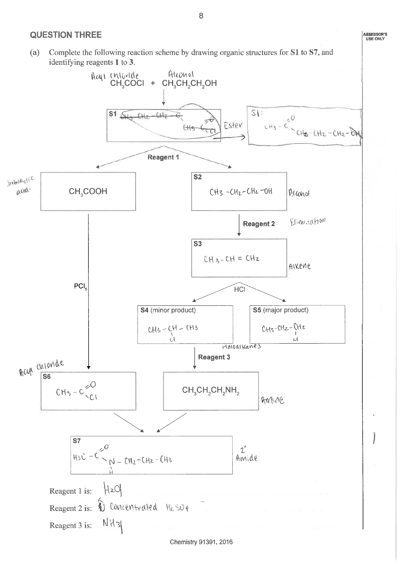### **QUESTION THREE**

Complete the following reaction scheme by drawing organic structures for S1 to S7, and (a) identifying reagents 1 to 3.

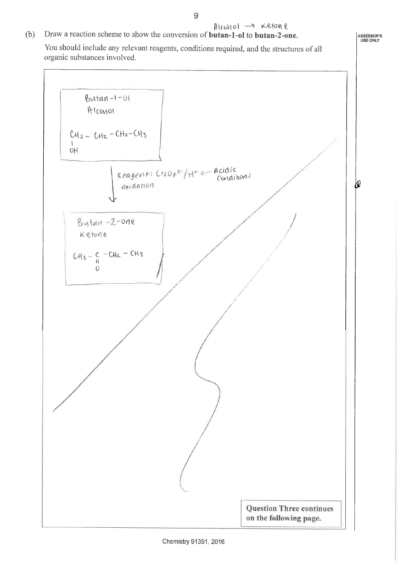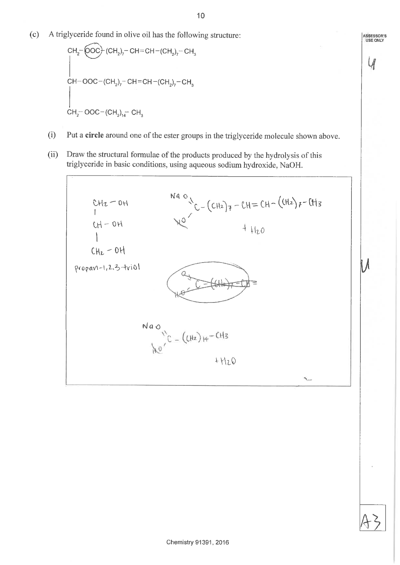A triglyceride found in olive oil has the following structure:  $(c)$ 

CH<sub>2</sub>-
$$
\left\{\n\begin{array}{l}\n\text{CH}_2-\left(\text{OOC}\right)\cdot(\text{CH}_2)_7-\text{CH}=\text{CH}-(\text{CH}_2)_7-\text{CH}_3 \\
\text{CH}-\text{OOC}-(\text{CH}_2)_7-\text{CH}=\text{CH}-(\text{CH}_2)_7-\text{CH}_3\n\end{array}\n\right\}
$$
\n  
\nCH<sub>2</sub>-\text{OOC}-(\text{CH}\_2)\_{14}-\text{CH}\_3

- Put a circle around one of the ester groups in the triglyceride molecule shown above.  $(i)$
- Draw the structural formulae of the products produced by the hydrolysis of this  $(ii)$ triglyceride in basic conditions, using aqueous sodium hydroxide, NaOH.



ASSESSOR'S<br>USE ONLY

 $\mathcal{U}$